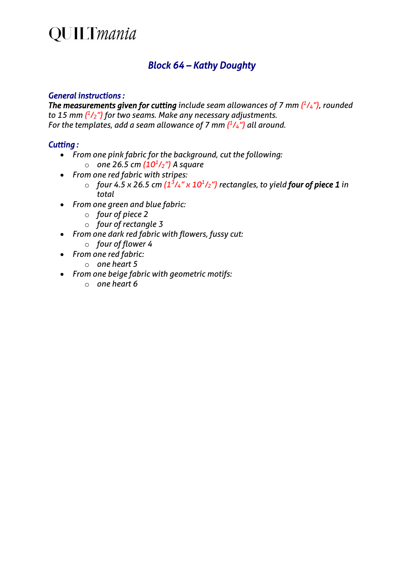## **QUILTmania**

### *Block 64 – Kathy Doughty*

#### *General instructions :*

*The measurements given for cutting include seam allowances of 7 mm*  $(^{1}/_{4}$ *"), rounded to 15 mm ( 1/2") for two seams. Make any necessary adjustments. For the templates, add a seam allowance of 7 mm ( 1/4") all around.*

#### *Cutting :*

- *From one pink fabric for the background, cut the following:* o *one 26.5 cm (101/2") A square*
- *From one red fabric with stripes:*
	- $\circ$  *four 4.5 x 26.5 cm*  $(1^3/4'' \times 10^1/2'')$  *rectangles, to yield four of piece 1 in total*
- *From one green and blue fabric:*
	- o *four of piece 2*
	- o *four of rectangle 3*
- *From one dark red fabric with flowers, fussy cut:*
	- o *four of flower 4*
- *From one red fabric:*
	- o *one heart 5*
- *From one beige fabric with geometric motifs:*
	- o *one heart 6*